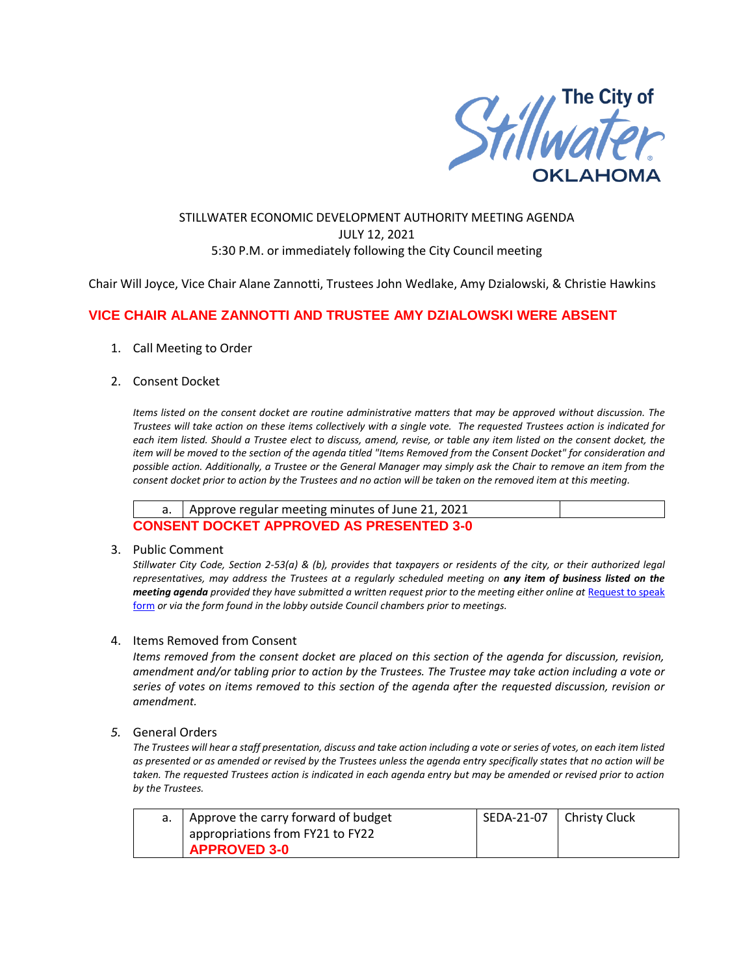

### STILLWATER ECONOMIC DEVELOPMENT AUTHORITY MEETING AGENDA JULY 12, 2021 5:30 P.M. or immediately following the City Council meeting

Chair Will Joyce, Vice Chair Alane Zannotti, Trustees John Wedlake, Amy Dzialowski, & Christie Hawkins

## **VICE CHAIR ALANE ZANNOTTI AND TRUSTEE AMY DZIALOWSKI WERE ABSENT**

- 1. Call Meeting to Order
- 2. Consent Docket

*Items listed on the consent docket are routine administrative matters that may be approved without discussion. The Trustees will take action on these items collectively with a single vote. The requested Trustees action is indicated for each item listed. Should a Trustee elect to discuss, amend, revise, or table any item listed on the consent docket, the item will be moved to the section of the agenda titled "Items Removed from the Consent Docket" for consideration and possible action. Additionally, a Trustee or the General Manager may simply ask the Chair to remove an item from the consent docket prior to action by the Trustees and no action will be taken on the removed item at this meeting.*

|                                                 | a.   Approve regular meeting minutes of June 21, 2021 |  |  |  |
|-------------------------------------------------|-------------------------------------------------------|--|--|--|
| <b>CONSENT DOCKET APPROVED AS PRESENTED 3-0</b> |                                                       |  |  |  |

#### 3. Public Comment

*Stillwater City Code, Section 2-53(a) & (b), provides that taxpayers or residents of the city, or their authorized legal representatives, may address the Trustees at a regularly scheduled meeting on any item of business listed on the meeting agenda provided they have submitted a written request prior to the meeting either online at Request to speak* [form](http://stillwater.org/page/home/government/mayor-city-council/meetings-agendas-minutes/online-request-to-speak-at-city-council) *or via the form found in the lobby outside Council chambers prior to meetings.*

#### 4. Items Removed from Consent

*Items removed from the consent docket are placed on this section of the agenda for discussion, revision, amendment and/or tabling prior to action by the Trustees. The Trustee may take action including a vote or series of votes on items removed to this section of the agenda after the requested discussion, revision or amendment.*

#### *5.* General Orders

*The Trustees will hear a staff presentation, discuss and take action including a vote or series of votes, on each item listed as presented or as amended or revised by the Trustees unless the agenda entry specifically states that no action will be taken. The requested Trustees action is indicated in each agenda entry but may be amended or revised prior to action by the Trustees.* 

| I Approve the carry forward of budget | l SEDA-21-07 l | Christy Cluck |
|---------------------------------------|----------------|---------------|
| appropriations from FY21 to FY22      |                |               |
| APPROVED 3-0                          |                |               |